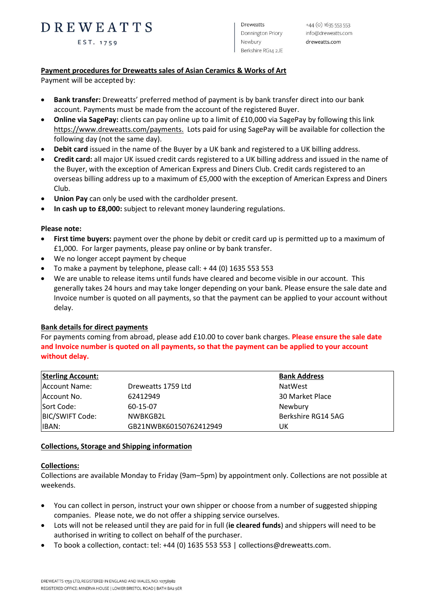# DREWEATTS

EST. 1759

**Dreweatts** Donnington Priory Newbury Berkshire RG14 2JE

#### **Payment procedures for Dreweatts sales of Asian Ceramics & Works of Art**

Payment will be accepted by:

- **Bank transfer:** Dreweatts' preferred method of payment is by bank transfer direct into our bank account. Payments must be made from the account of the registered Buyer.
- **Online via SagePay:** clients can pay online up to a limit of £10,000 via SagePay by following this link [https://www.dreweatts.com/payments.](https://www.dreweatts.com/payments) Lots paid for using SagePay will be available for collection the following day (not the same day).
- **Debit card** issued in the name of the Buyer by a UK bank and registered to a UK billing address.
- **Credit card:** all major UK issued credit cards registered to a UK billing address and issued in the name of the Buyer, with the exception of American Express and Diners Club. Credit cards registered to an overseas billing address up to a maximum of £5,000 with the exception of American Express and Diners Club.
- **Union Pay** can only be used with the cardholder present.
- **In cash up to £8,000:** subject to relevant money laundering regulations.

#### **Please note:**

- **First time buyers:** payment over the phone by debit or credit card up is permitted up to a maximum of £1,000. For larger payments, please pay online or by bank transfer.
- We no longer accept payment by cheque
- To make a payment by telephone, please call:  $+$  44 (0) 1635 553 553
- We are unable to release items until funds have cleared and become visible in our account. This generally takes 24 hours and may take longer depending on your bank. Please ensure the sale date and Invoice number is quoted on all payments, so that the payment can be applied to your account without delay.

#### **Bank details for direct payments**

For payments coming from abroad, please add £10.00 to cover bank charges. **Please ensure the sale date and Invoice number is quoted on all payments, so that the payment can be applied to your account without delay.** 

| <b>Sterling Account:</b> |                        | <b>Bank Address</b> |
|--------------------------|------------------------|---------------------|
| Account Name:            | Dreweatts 1759 Ltd     | <b>NatWest</b>      |
| Account No.              | 62412949               | 30 Market Place     |
| Sort Code:               | 60-15-07               | Newbury             |
| <b>BIC/SWIFT Code:</b>   | NWBKGB2L               | Berkshire RG14 5AG  |
| IIBAN:                   | GB21NWBK60150762412949 | UK                  |

#### **Collections, Storage and Shipping information**

#### **Collections:**

Collections are available Monday to Friday (9am–5pm) by appointment only. Collections are not possible at weekends.

- You can collect in person, instruct your own shipper or choose from a number of suggested shipping companies. Please note, we do not offer a shipping service ourselves.
- Lots will not be released until they are paid for in full (**ie cleared funds**) and shippers will need to be authorised in writing to collect on behalf of the purchaser.
- To book a collection, contact: tel: +44 (0) 1635 553 553 | collections@dreweatts.com.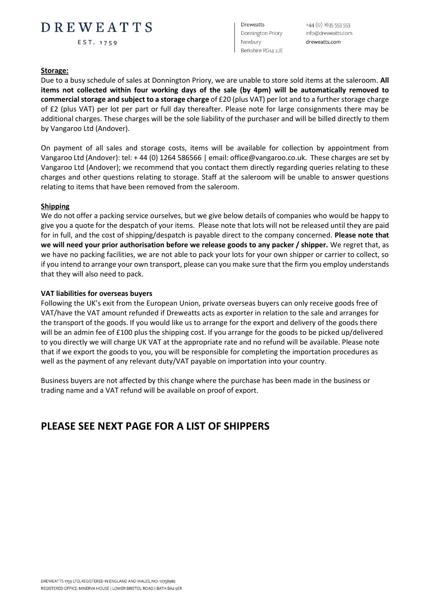## DREWEATTS

EST. 1759

**Dreweatts** Donnington Priory Newbury Berkshire RG14 2JE

+44 (0) 1635 553 553 info@dreweatts.com dreweatts.com

#### **Storage:**

Due to a busy schedule of sales at Donnington Priory, we are unable to store sold items at the saleroom. **All items not collected within four working days of the sale (by 4pm) will be automatically removed to commercial storage and subject to a storage charge** of £20 (plus VAT) per lot and to a further storage charge of £2 (plus VAT) per lot per part or full day thereafter. Please note for large consignments there may be additional charges. These charges will be the sole liability of the purchaser and will be billed directly to them by Vangaroo Ltd (Andover).

On payment of all sales and storage costs, items will be available for collection by appointment from Vangaroo Ltd (Andover): tel: + 44 (0) 1264 586566 | email: office@vangaroo.co.uk. These charges are set by Vangaroo Ltd (Andover); we recommend that you contact them directly regarding queries relating to these charges and other questions relating to storage. Staff at the saleroom will be unable to answer questions relating to items that have been removed from the saleroom.

#### **Shipping**

We do not offer a packing service ourselves, but we give below details of companies who would be happy to give you a quote for the despatch of your items. Please note that lots will not be released until they are paid for in full, and the cost of shipping/despatch is payable direct to the company concerned. **Please note that we will need your prior authorisation before we release goods to any packer / shipper.** We regret that, as we have no packing facilities, we are not able to pack your lots for your own shipper or carrier to collect, so if you intend to arrange your own transport, please can you make sure that the firm you employ understands that they will also need to pack.

#### **VAT liabilities for overseas buyers**

Following the UK's exit from the European Union, private overseas buyers can only receive goods free of VAT/have the VAT amount refunded if Dreweatts acts as exporter in relation to the sale and arranges for the transport of the goods. If you would like us to arrange for the export and delivery of the goods there will be an admin fee of £100 plus the shipping cost. If you arrange for the goods to be picked up/delivered to you directly we will charge UK VAT at the appropriate rate and no refund will be available. Please note that if we export the goods to you, you will be responsible for completing the importation procedures as well as the payment of any relevant duty/VAT payable on importation into your country.

Business buyers are not affected by this change where the purchase has been made in the business or trading name and a VAT refund will be available on proof of export.

### **PLEASE SEE NEXT PAGE FOR A LIST OF SHIPPERS**